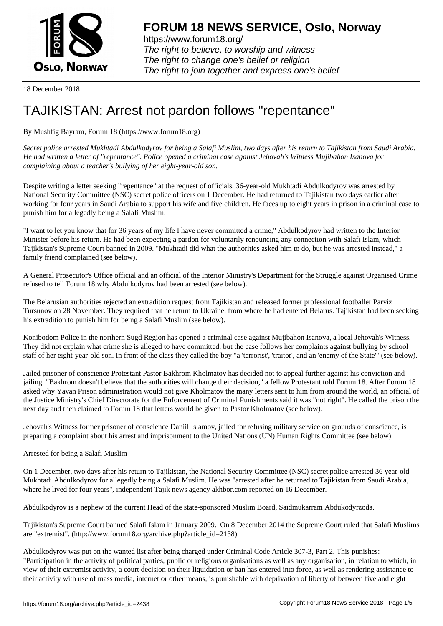

https://www.forum18.org/ The right to believe, to worship and witness The right to change one's belief or religion [The right to join together a](https://www.forum18.org/)nd express one's belief

18 December 2018

## [TAJIKISTAN: A](https://www.forum18.org)rrest not pardon follows "repentance"

## By Mushfig Bayram, Forum 18 (https://www.forum18.org)

*Secret police arrested Mukhtadi Abdulkodyrov for being a Salafi Muslim, two days after his return to Tajikistan from Saudi Arabia. He had written a letter of "repentance". Police opened a criminal case against Jehovah's Witness Mujibahon Isanova for complaining about a teacher's bullying of her eight-year-old son.*

Despite writing a letter seeking "repentance" at the request of officials, 36-year-old Mukhtadi Abdulkodyrov was arrested by National Security Committee (NSC) secret police officers on 1 December. He had returned to Tajikistan two days earlier after working for four years in Saudi Arabia to support his wife and five children. He faces up to eight years in prison in a criminal case to punish him for allegedly being a Salafi Muslim.

"I want to let you know that for 36 years of my life I have never committed a crime," Abdulkodyrov had written to the Interior Minister before his return. He had been expecting a pardon for voluntarily renouncing any connection with Salafi Islam, which Tajikistan's Supreme Court banned in 2009. "Mukhtadi did what the authorities asked him to do, but he was arrested instead," a family friend complained (see below).

A General Prosecutor's Office official and an official of the Interior Ministry's Department for the Struggle against Organised Crime refused to tell Forum 18 why Abdulkodyrov had been arrested (see below).

The Belarusian authorities rejected an extradition request from Tajikistan and released former professional footballer Parviz Tursunov on 28 November. They required that he return to Ukraine, from where he had entered Belarus. Tajikistan had been seeking his extradition to punish him for being a Salafi Muslim (see below).

Konibodom Police in the northern Sugd Region has opened a criminal case against Mujibahon Isanova, a local Jehovah's Witness. They did not explain what crime she is alleged to have committed, but the case follows her complaints against bullying by school staff of her eight-year-old son. In front of the class they called the boy "a 'terrorist', 'traitor', and an 'enemy of the State'" (see below).

Jailed prisoner of conscience Protestant Pastor Bakhrom Kholmatov has decided not to appeal further against his conviction and jailing. "Bakhrom doesn't believe that the authorities will change their decision," a fellow Protestant told Forum 18. After Forum 18 asked why Yavan Prison administration would not give Kholmatov the many letters sent to him from around the world, an official of the Justice Ministry's Chief Directorate for the Enforcement of Criminal Punishments said it was "not right". He called the prison the next day and then claimed to Forum 18 that letters would be given to Pastor Kholmatov (see below).

Jehovah's Witness former prisoner of conscience Daniil Islamov, jailed for refusing military service on grounds of conscience, is preparing a complaint about his arrest and imprisonment to the United Nations (UN) Human Rights Committee (see below).

## Arrested for being a Salafi Muslim

On 1 December, two days after his return to Tajikistan, the National Security Committee (NSC) secret police arrested 36 year-old Mukhtadi Abdulkodyrov for allegedly being a Salafi Muslim. He was "arrested after he returned to Tajikistan from Saudi Arabia, where he lived for four years", independent Tajik news agency akhbor.com reported on 16 December.

Abdulkodyrov is a nephew of the current Head of the state-sponsored Muslim Board, Saidmukarram Abdukodyrzoda.

Tajikistan's Supreme Court banned Salafi Islam in January 2009. On 8 December 2014 the Supreme Court ruled that Salafi Muslims are "extremist". (http://www.forum18.org/archive.php?article\_id=2138)

Abdulkodyrov was put on the wanted list after being charged under Criminal Code Article 307-3, Part 2. This punishes: "Participation in the activity of political parties, public or religious organisations as well as any organisation, in relation to which, in view of their extremist activity, a court decision on their liquidation or ban has entered into force, as well as rendering assistance to their activity with use of mass media, internet or other means, is punishable with deprivation of liberty of between five and eight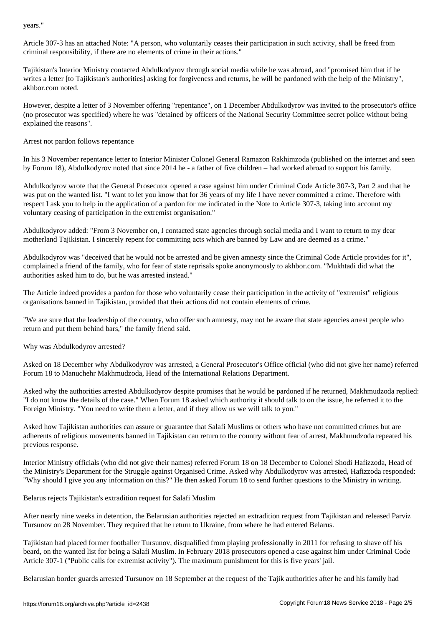Article 307-3 has an attached Note: "A person, who voluntarily ceases their participation in such activity, shall be freed from criminal responsibility, if there are no elements of crime in their actions."

Tajikistan's Interior Ministry contacted Abdulkodyrov through social media while he was abroad, and "promised him that if he writes a letter [to Tajikistan's authorities] asking for forgiveness and returns, he will be pardoned with the help of the Ministry", akhbor.com noted.

However, despite a letter of 3 November offering "repentance", on 1 December Abdulkodyrov was invited to the prosecutor's office (no prosecutor was specified) where he was "detained by officers of the National Security Committee secret police without being explained the reasons".

Arrest not pardon follows repentance

In his 3 November repentance letter to Interior Minister Colonel General Ramazon Rakhimzoda (published on the internet and seen by Forum 18), Abdulkodyrov noted that since 2014 he - a father of five children – had worked abroad to support his family.

Abdulkodyrov wrote that the General Prosecutor opened a case against him under Criminal Code Article 307-3, Part 2 and that he was put on the wanted list. "I want to let you know that for 36 years of my life I have never committed a crime. Therefore with respect I ask you to help in the application of a pardon for me indicated in the Note to Article 307-3, taking into account my voluntary ceasing of participation in the extremist organisation."

Abdulkodyrov added: "From 3 November on, I contacted state agencies through social media and I want to return to my dear motherland Tajikistan. I sincerely repent for committing acts which are banned by Law and are deemed as a crime."

Abdulkodyrov was "deceived that he would not be arrested and be given amnesty since the Criminal Code Article provides for it", complained a friend of the family, who for fear of state reprisals spoke anonymously to akhbor.com. "Mukhtadi did what the authorities asked him to do, but he was arrested instead."

The Article indeed provides a pardon for those who voluntarily cease their participation in the activity of "extremist" religious organisations banned in Tajikistan, provided that their actions did not contain elements of crime.

"We are sure that the leadership of the country, who offer such amnesty, may not be aware that state agencies arrest people who return and put them behind bars," the family friend said.

Why was Abdulkodyrov arrested?

Asked on 18 December why Abdulkodyrov was arrested, a General Prosecutor's Office official (who did not give her name) referred Forum 18 to Manuchehr Makhmudzoda, Head of the International Relations Department.

Asked why the authorities arrested Abdulkodyrov despite promises that he would be pardoned if he returned, Makhmudzoda replied: "I do not know the details of the case." When Forum 18 asked which authority it should talk to on the issue, he referred it to the Foreign Ministry. "You need to write them a letter, and if they allow us we will talk to you."

Asked how Tajikistan authorities can assure or guarantee that Salafi Muslims or others who have not committed crimes but are adherents of religious movements banned in Tajikistan can return to the country without fear of arrest, Makhmudzoda repeated his previous response.

Interior Ministry officials (who did not give their names) referred Forum 18 on 18 December to Colonel Shodi Hafizzoda, Head of the Ministry's Department for the Struggle against Organised Crime. Asked why Abdulkodyrov was arrested, Hafizzoda responded: "Why should I give you any information on this?" He then asked Forum 18 to send further questions to the Ministry in writing.

Belarus rejects Tajikistan's extradition request for Salafi Muslim

After nearly nine weeks in detention, the Belarusian authorities rejected an extradition request from Tajikistan and released Parviz Tursunov on 28 November. They required that he return to Ukraine, from where he had entered Belarus.

Tajikistan had placed former footballer Tursunov, disqualified from playing professionally in 2011 for refusing to shave off his beard, on the wanted list for being a Salafi Muslim. In February 2018 prosecutors opened a case against him under Criminal Code Article 307-1 ("Public calls for extremist activity"). The maximum punishment for this is five years' jail.

Belarusian border guards arrested Tursunov on 18 September at the request of the Tajik authorities after he and his family had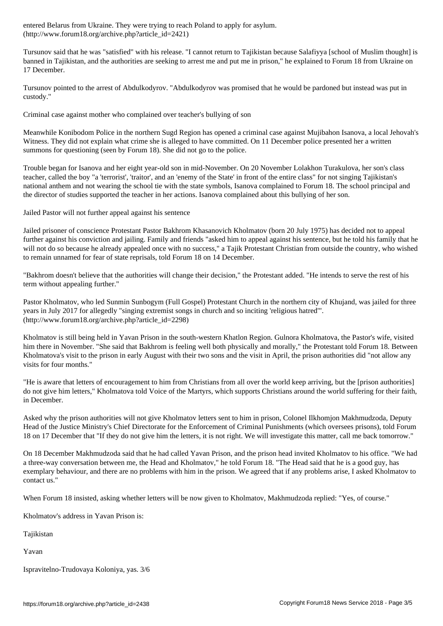$\begin{array}{ccc} \hline \end{array}$ 

Tursunov said that he was "satisfied" with his release. "I cannot return to Tajikistan because Salafiyya [school of Muslim thought] is banned in Tajikistan, and the authorities are seeking to arrest me and put me in prison," he explained to Forum 18 from Ukraine on 17 December.

Tursunov pointed to the arrest of Abdulkodyrov. "Abdulkodyrov was promised that he would be pardoned but instead was put in custody."

Criminal case against mother who complained over teacher's bullying of son

Meanwhile Konibodom Police in the northern Sugd Region has opened a criminal case against Mujibahon Isanova, a local Jehovah's Witness. They did not explain what crime she is alleged to have committed. On 11 December police presented her a written summons for questioning (seen by Forum 18). She did not go to the police.

Trouble began for Isanova and her eight year-old son in mid-November. On 20 November Lolakhon Turakulova, her son's class teacher, called the boy "a 'terrorist', 'traitor', and an 'enemy of the State' in front of the entire class" for not singing Tajikistan's national anthem and not wearing the school tie with the state symbols, Isanova complained to Forum 18. The school principal and the director of studies supported the teacher in her actions. Isanova complained about this bullying of her son.

Jailed Pastor will not further appeal against his sentence

Jailed prisoner of conscience Protestant Pastor Bakhrom Khasanovich Kholmatov (born 20 July 1975) has decided not to appeal further against his conviction and jailing. Family and friends "asked him to appeal against his sentence, but he told his family that he will not do so because he already appealed once with no success," a Tajik Protestant Christian from outside the country, who wished to remain unnamed for fear of state reprisals, told Forum 18 on 14 December.

"Bakhrom doesn't believe that the authorities will change their decision," the Protestant added. "He intends to serve the rest of his term without appealing further."

Pastor Kholmatov, who led Sunmin Sunbogym (Full Gospel) Protestant Church in the northern city of Khujand, was jailed for three years in July 2017 for allegedly "singing extremist songs in church and so inciting 'religious hatred'". (http://www.forum18.org/archive.php?article\_id=2298)

Kholmatov is still being held in Yavan Prison in the south-western Khatlon Region. Gulnora Kholmatova, the Pastor's wife, visited him there in November. "She said that Bakhrom is feeling well both physically and morally," the Protestant told Forum 18. Between Kholmatova's visit to the prison in early August with their two sons and the visit in April, the prison authorities did "not allow any visits for four months."

"He is aware that letters of encouragement to him from Christians from all over the world keep arriving, but the [prison authorities] do not give him letters," Kholmatova told Voice of the Martyrs, which supports Christians around the world suffering for their faith, in December.

Asked why the prison authorities will not give Kholmatov letters sent to him in prison, Colonel Ilkhomjon Makhmudzoda, Deputy Head of the Justice Ministry's Chief Directorate for the Enforcement of Criminal Punishments (which oversees prisons), told Forum 18 on 17 December that "If they do not give him the letters, it is not right. We will investigate this matter, call me back tomorrow."

On 18 December Makhmudzoda said that he had called Yavan Prison, and the prison head invited Kholmatov to his office. "We had a three-way conversation between me, the Head and Kholmatov," he told Forum 18. "The Head said that he is a good guy, has exemplary behaviour, and there are no problems with him in the prison. We agreed that if any problems arise, I asked Kholmatov to contact us."

When Forum 18 insisted, asking whether letters will be now given to Kholmatov, Makhmudzoda replied: "Yes, of course."

Kholmatov's address in Yavan Prison is:

Tajikistan

Yavan

Ispravitelno-Trudovaya Koloniya, yas. 3/6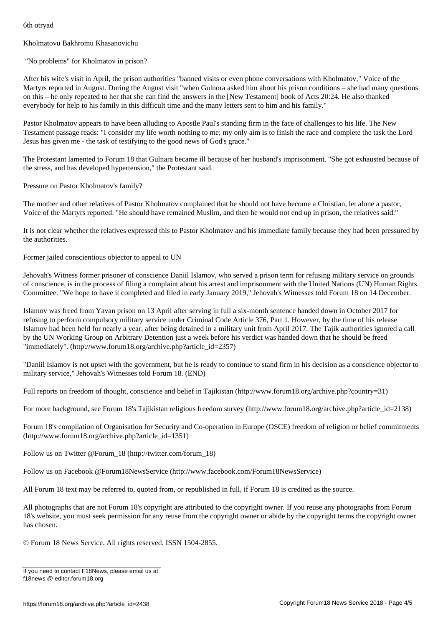## Kholmatovu Bakhromu Khasanovichu

"No problems" for Kholmatov in prison?

After his wife's visit in April, the prison authorities "banned visits or even phone conversations with Kholmatov," Voice of the Martyrs reported in August. During the August visit "when Gulnora asked him about his prison conditions – she had many questions on this – he only repeated to her that she can find the answers in the [New Testament] book of Acts 20:24. He also thanked everybody for help to his family in this difficult time and the many letters sent to him and his family."

Pastor Kholmatov appears to have been alluding to Apostle Paul's standing firm in the face of challenges to his life. The New Testament passage reads: "I consider my life worth nothing to me; my only aim is to finish the race and complete the task the Lord Jesus has given me - the task of testifying to the good news of God's grace."

The Protestant lamented to Forum 18 that Gulnara became ill because of her husband's imprisonment. "She got exhausted because of the stress, and has developed hypertension," the Protestant said.

Pressure on Pastor Kholmatov's family?

The mother and other relatives of Pastor Kholmatov complained that he should not have become a Christian, let alone a pastor, Voice of the Martyrs reported. "He should have remained Muslim, and then he would not end up in prison, the relatives said."

It is not clear whether the relatives expressed this to Pastor Kholmatov and his immediate family because they had been pressured by the authorities.

Former jailed conscientious objector to appeal to UN

Jehovah's Witness former prisoner of conscience Daniil Islamov, who served a prison term for refusing military service on grounds of conscience, is in the process of filing a complaint about his arrest and imprisonment with the United Nations (UN) Human Rights Committee. "We hope to have it completed and filed in early January 2019," Jehovah's Witnesses told Forum 18 on 14 December.

Islamov was freed from Yavan prison on 13 April after serving in full a six-month sentence handed down in October 2017 for refusing to perform compulsory military service under Criminal Code Article 376, Part 1. However, by the time of his release Islamov had been held for nearly a year, after being detained in a military unit from April 2017. The Tajik authorities ignored a call by the UN Working Group on Arbitrary Detention just a week before his verdict was handed down that he should be freed "immediately". (http://www.forum18.org/archive.php?article\_id=2357)

"Daniil Islamov is not upset with the government, but he is ready to continue to stand firm in his decision as a conscience objector to military service," Jehovah's Witnesses told Forum 18. (END)

Full reports on freedom of thought, conscience and belief in Tajikistan (http://www.forum18.org/archive.php?country=31)

For more background, see Forum 18's Tajikistan religious freedom survey (http://www.forum18.org/archive.php?article\_id=2138)

Forum 18's compilation of Organisation for Security and Co-operation in Europe (OSCE) freedom of religion or belief commitments (http://www.forum18.org/archive.php?article\_id=1351)

Follow us on Twitter @Forum\_18 (http://twitter.com/forum\_18)

Follow us on Facebook @Forum18NewsService (http://www.facebook.com/Forum18NewsService)

All Forum 18 text may be referred to, quoted from, or republished in full, if Forum 18 is credited as the source.

All photographs that are not Forum 18's copyright are attributed to the copyright owner. If you reuse any photographs from Forum 18's website, you must seek permission for any reuse from the copyright owner or abide by the copyright terms the copyright owner has chosen.

© Forum 18 News Service. All rights reserved. ISSN 1504-2855.

If you need to contact F18News, please email us at: f18news @ editor.forum18.org